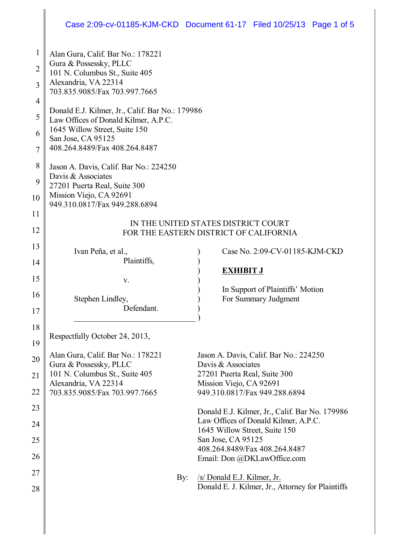# Case 2:09-cv-01185-KJM-CKD Document 61-17 Filed 10/25/13 Page 1 of 5

| 1              | Alan Gura, Calif. Bar No.: 178221                                             |                                                              |
|----------------|-------------------------------------------------------------------------------|--------------------------------------------------------------|
| $\overline{2}$ | Gura & Possessky, PLLC                                                        |                                                              |
|                | 101 N. Columbus St., Suite 405                                                |                                                              |
| 3              | Alexandria, VA 22314<br>703.835.9085/Fax 703.997.7665                         |                                                              |
| 4              |                                                                               |                                                              |
| 5              | Donald E.J. Kilmer, Jr., Calif. Bar No.: 179986                               |                                                              |
|                | Law Offices of Donald Kilmer, A.P.C.<br>1645 Willow Street, Suite 150         |                                                              |
| 6              | San Jose, CA 95125                                                            |                                                              |
| 7              | 408.264.8489/Fax 408.264.8487                                                 |                                                              |
| 8              | Jason A. Davis, Calif. Bar No.: 224250                                        |                                                              |
| 9              | Davis & Associates                                                            |                                                              |
|                | 27201 Puerta Real, Suite 300<br>Mission Viejo, CA 92691                       |                                                              |
| 10             | 949.310.0817/Fax 949.288.6894                                                 |                                                              |
| 11             |                                                                               |                                                              |
| 12             | IN THE UNITED STATES DISTRICT COURT<br>FOR THE EASTERN DISTRICT OF CALIFORNIA |                                                              |
| 13             |                                                                               |                                                              |
|                | Ivan Peña, et al.,<br>Plaintiffs,                                             | Case No. 2:09-CV-01185-KJM-CKD                               |
| 14             |                                                                               | <b>EXHIBIT J</b>                                             |
| 15             | V.                                                                            |                                                              |
| 16             | Stephen Lindley,                                                              | In Support of Plaintiffs' Motion<br>For Summary Judgment     |
| 17             | Defendant.                                                                    |                                                              |
|                |                                                                               |                                                              |
| 18             | Respectfully October 24, 2013,                                                |                                                              |
| 19             |                                                                               |                                                              |
| 20             | Alan Gura, Calif. Bar No.: 178221<br>Gura & Possessky, PLLC                   | Jason A. Davis, Calif. Bar No.: 224250<br>Davis & Associates |
| 21             | 101 N. Columbus St., Suite 405                                                | 27201 Puerta Real, Suite 300                                 |
|                | Alexandria, VA 22314                                                          | Mission Viejo, CA 92691                                      |
| 22             | 703.835.9085/Fax 703.997.7665                                                 | 949.310.0817/Fax 949.288.6894                                |
| 23             |                                                                               | Donald E.J. Kilmer, Jr., Calif. Bar No. 179986               |
| 24             |                                                                               | Law Offices of Donald Kilmer, A.P.C.                         |
|                |                                                                               | 1645 Willow Street, Suite 150<br>San Jose, CA 95125          |
| 25             |                                                                               | 408.264.8489/Fax 408.264.8487                                |
| 26             |                                                                               | Email: Don @DKLawOffice.com                                  |
| 27             | By:                                                                           | /s/ Donald E.J. Kilmer, Jr.                                  |
| 28             |                                                                               | Donald E. J. Kilmer, Jr., Attorney for Plaintiffs            |
|                |                                                                               |                                                              |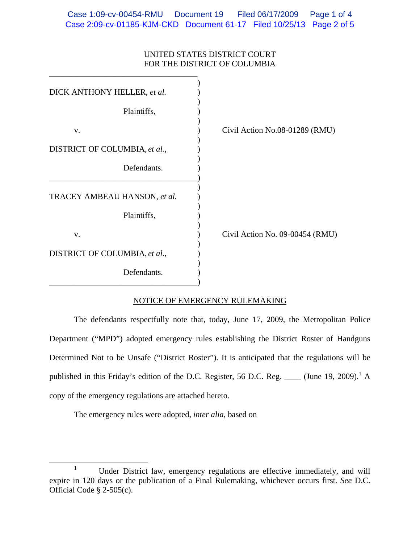## UNITED STATES DISTRICT COURT FOR THE DISTRICT OF COLUMBIA

| Civil Action No.08-01289 (RMU)  |
|---------------------------------|
|                                 |
|                                 |
|                                 |
|                                 |
| Civil Action No. 09-00454 (RMU) |
|                                 |
|                                 |
|                                 |

#### NOTICE OF EMERGENCY RULEMAKING

 The defendants respectfully note that, today, June 17, 2009, the Metropolitan Police Department ("MPD") adopted emergency rules establishing the District Roster of Handguns Determined Not to be Unsafe ("District Roster"). It is anticipated that the regulations will be published in this Friday's edition of the D.C. Register, 56 D.C. Reg. \_\_\_\_ (June 19, 2009).<sup>1</sup> A copy of the emergency regulations are attached hereto.

The emergency rules were adopted, *inter alia*, based on

 $\frac{1}{1}$ <sup>1</sup> Under District law, emergency regulations are effective immediately, and will expire in 120 days or the publication of a Final Rulemaking, whichever occurs first. *See* D.C. Official Code § 2-505(c).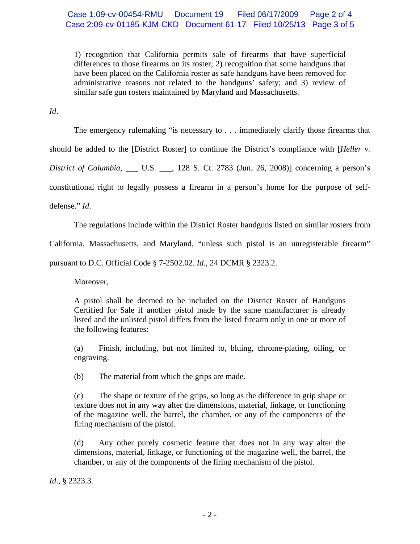# Case 1:09-cv-00454-RMU Document 19 Filed 06/17/2009 Page 2 of 4 Case 2:09-cv-01185-KJM-CKD Document 61-17 Filed 10/25/13 Page 3 of 5

1) recognition that California permits sale of firearms that have superficial differences to those firearms on its roster; 2) recognition that some handguns that have been placed on the California roster as safe handguns have been removed for administrative reasons not related to the handguns' safety; and 3) review of similar safe gun rosters maintained by Maryland and Massachusetts.

*Id*.

The emergency rulemaking "is necessary to . . . immediately clarify those firearms that

should be added to the [District Roster] to continue the District's compliance with [*Heller v.* 

*District of Columbia*, \_\_\_ U.S. \_\_\_, 128 S. Ct. 2783 (Jun. 26, 2008)] concerning a person's

constitutional right to legally possess a firearm in a person's home for the purpose of self-

defense." *Id*.

The regulations include within the District Roster handguns listed on similar rosters from

California, Massachusetts, and Maryland, "unless such pistol is an unregisterable firearm"

pursuant to D.C. Official Code § 7-2502.02. *Id*., 24 DCMR § 2323.2.

Moreover,

A pistol shall be deemed to be included on the District Roster of Handguns Certified for Sale if another pistol made by the same manufacturer is already listed and the unlisted pistol differs from the listed firearm only in one or more of the following features:

(a) Finish, including, but not limited to, bluing, chrome-plating, oiling, or engraving.

(b) The material from which the grips are made.

(c) The shape or texture of the grips, so long as the difference in grip shape or texture does not in any way alter the dimensions, material, linkage, or functioning of the magazine well, the barrel, the chamber, or any of the components of the firing mechanism of the pistol.

(d) Any other purely cosmetic feature that does not in any way alter the dimensions, material, linkage, or functioning of the magazine well, the barrel, the chamber, or any of the components of the firing mechanism of the pistol.

*Id*., § 2323.3.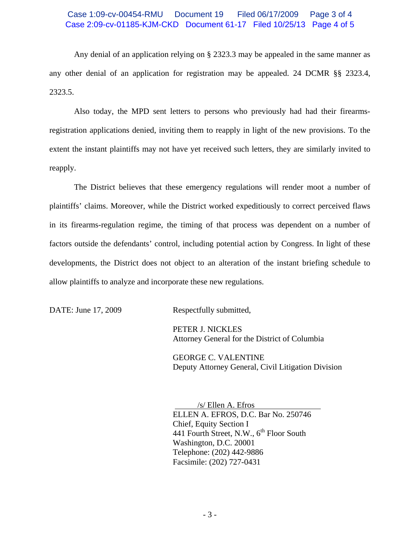## Case 1:09-cv-00454-RMU Document 19 Filed 06/17/2009 Page 3 of 4 Case 2:09-cv-01185-KJM-CKD Document 61-17 Filed 10/25/13 Page 4 of 5

Any denial of an application relying on § 2323.3 may be appealed in the same manner as any other denial of an application for registration may be appealed. 24 DCMR §§ 2323.4, 2323.5.

 Also today, the MPD sent letters to persons who previously had had their firearmsregistration applications denied, inviting them to reapply in light of the new provisions. To the extent the instant plaintiffs may not have yet received such letters, they are similarly invited to reapply.

 The District believes that these emergency regulations will render moot a number of plaintiffs' claims. Moreover, while the District worked expeditiously to correct perceived flaws in its firearms-regulation regime, the timing of that process was dependent on a number of factors outside the defendants' control, including potential action by Congress. In light of these developments, the District does not object to an alteration of the instant briefing schedule to allow plaintiffs to analyze and incorporate these new regulations.

DATE: June 17, 2009 Respectfully submitted,

 PETER J. NICKLES Attorney General for the District of Columbia

 GEORGE C. VALENTINE Deputy Attorney General, Civil Litigation Division

 /s/ Ellen A. Efros ELLEN A. EFROS, D.C. Bar No. 250746 Chief, Equity Section I 441 Fourth Street, N.W., 6<sup>th</sup> Floor South Washington, D.C. 20001 Telephone: (202) 442-9886 Facsimile: (202) 727-0431